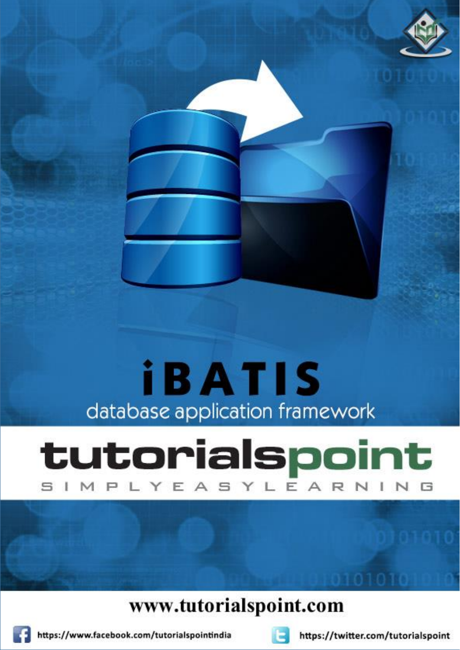# **iBATIS** database application framework

## tutorialspoint MPLYEASYLEARNIN

### www.tutorialspoint.com





https://twitter.com/tutorialspoint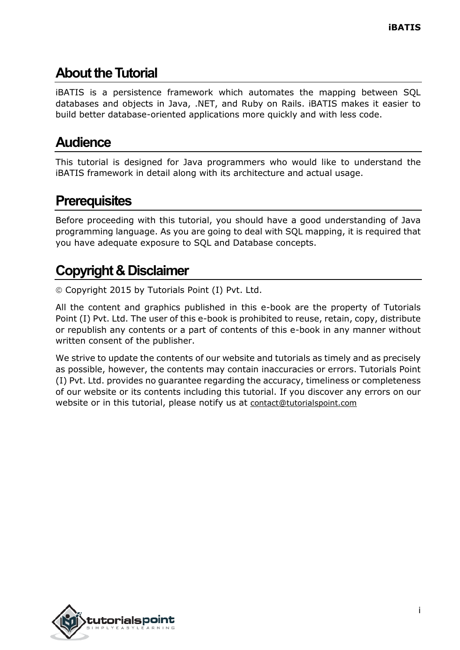#### **About theTutorial**

iBATIS is a persistence framework which automates the mapping between SQL databases and objects in Java, .NET, and Ruby on Rails. iBATIS makes it easier to build better database-oriented applications more quickly and with less code.

#### **Audience**

This tutorial is designed for Java programmers who would like to understand the iBATIS framework in detail along with its architecture and actual usage.

#### **Prerequisites**

Before proceeding with this tutorial, you should have a good understanding of Java programming language. As you are going to deal with SQL mapping, it is required that you have adequate exposure to SQL and Database concepts.

#### **Copyright & Disclaimer**

Copyright 2015 by Tutorials Point (I) Pvt. Ltd.

All the content and graphics published in this e-book are the property of Tutorials Point (I) Pvt. Ltd. The user of this e-book is prohibited to reuse, retain, copy, distribute or republish any contents or a part of contents of this e-book in any manner without written consent of the publisher.

We strive to update the contents of our website and tutorials as timely and as precisely as possible, however, the contents may contain inaccuracies or errors. Tutorials Point (I) Pvt. Ltd. provides no guarantee regarding the accuracy, timeliness or completeness of our website or its contents including this tutorial. If you discover any errors on our website or in this tutorial, please notify us at [contact@tutorialspoint.com](mailto:contact@tutorialspoint.com)

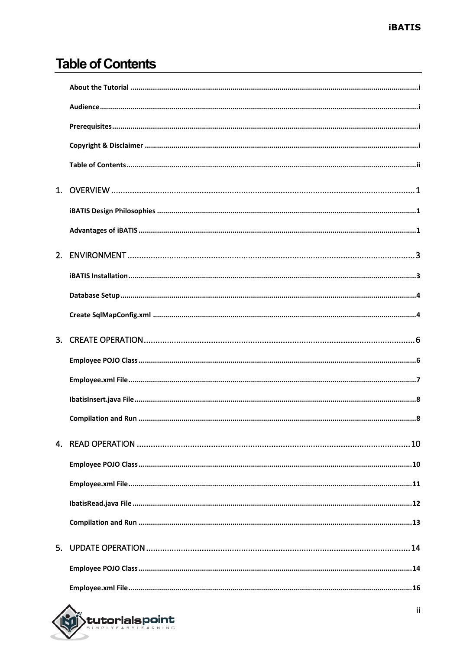#### **Table of Contents**

| 5 <sub>1</sub> |  |
|----------------|--|
|                |  |
|                |  |

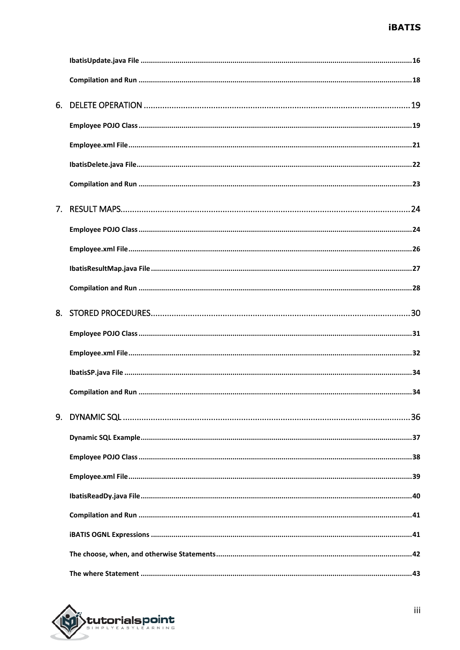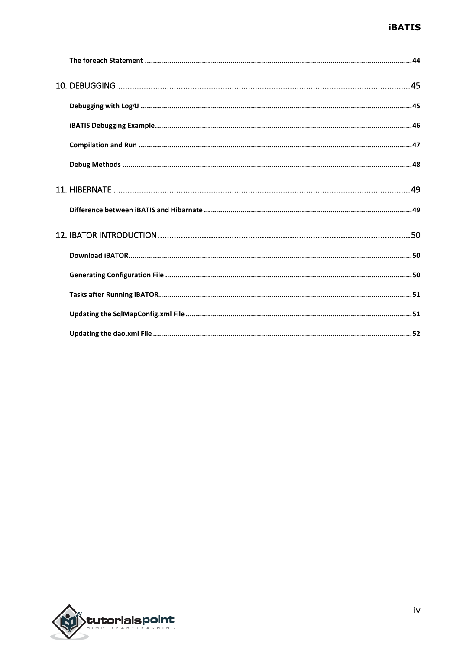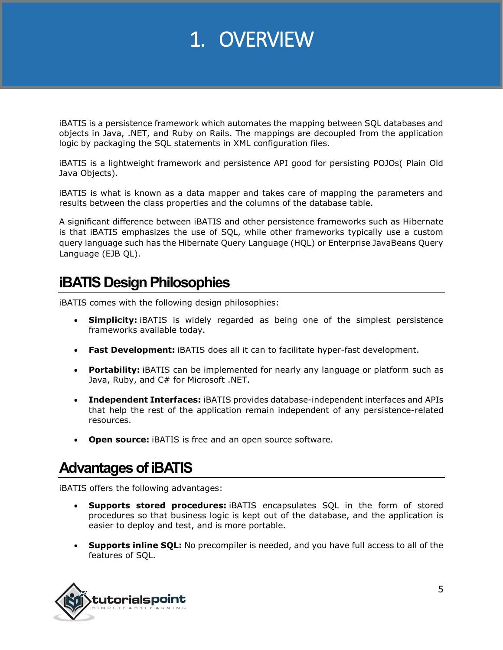### 1. OVERVIEW

iBATIS is a persistence framework which automates the mapping between SQL databases and objects in Java, .NET, and Ruby on Rails. The mappings are decoupled from the application logic by packaging the SQL statements in XML configuration files.

iBATIS is a lightweight framework and persistence API good for persisting POJOs( Plain Old Java Objects).

iBATIS is what is known as a data mapper and takes care of mapping the parameters and results between the class properties and the columns of the database table.

A significant difference between iBATIS and other persistence frameworks such as Hibernate is that iBATIS emphasizes the use of SQL, while other frameworks typically use a custom query language such has the Hibernate Query Language (HQL) or Enterprise JavaBeans Query Language (EJB QL).

#### **iBATIS Design Philosophies**

iBATIS comes with the following design philosophies:

- **Simplicity:** iBATIS is widely regarded as being one of the simplest persistence frameworks available today.
- **Fast Development:** iBATIS does all it can to facilitate hyper-fast development.
- **Portability:** iBATIS can be implemented for nearly any language or platform such as Java, Ruby, and C# for Microsoft .NET.
- **Independent Interfaces:** iBATIS provides database-independent interfaces and APIs that help the rest of the application remain independent of any persistence-related resources.
- **Open source:** iBATIS is free and an open source software.

#### **Advantages of iBATIS**

iBATIS offers the following advantages:

- **Supports stored procedures:** iBATIS encapsulates SQL in the form of stored procedures so that business logic is kept out of the database, and the application is easier to deploy and test, and is more portable.
- **Supports inline SQL:** No precompiler is needed, and you have full access to all of the features of SQL.

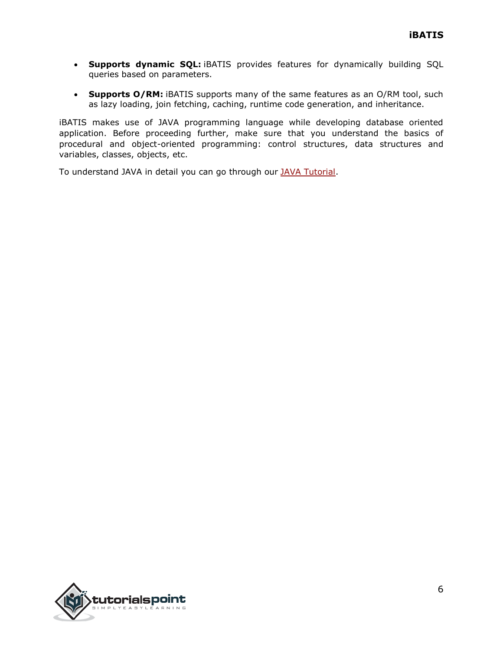- **Supports dynamic SQL:** iBATIS provides features for dynamically building SQL queries based on parameters.
- **Supports O/RM:** iBATIS supports many of the same features as an O/RM tool, such as lazy loading, join fetching, caching, runtime code generation, and inheritance.

iBATIS makes use of JAVA programming language while developing database oriented application. Before proceeding further, make sure that you understand the basics of procedural and object-oriented programming: control structures, data structures and variables, classes, objects, etc.

To understand JAVA in detail you can go through our [JAVA Tutorial.](http://www.tutorialspoint.com/java/index.htm)

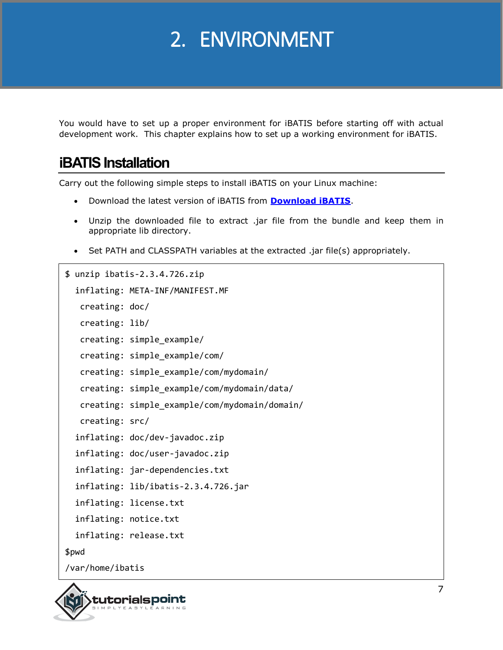## 2. ENVIRONMENT

You would have to set up a proper environment for iBATIS before starting off with actual development work. This chapter explains how to set up a working environment for iBATIS.

#### **iBATIS Installation**

Carry out the following simple steps to install iBATIS on your Linux machine:

- Download the latest version of iBATIS from **[Download iBATIS](http://ibatis.apache.org/java.cgi)**.
- Unzip the downloaded file to extract .jar file from the bundle and keep them in appropriate lib directory.
- Set PATH and CLASSPATH variables at the extracted .jar file(s) appropriately.

```
$ unzip ibatis-2.3.4.726.zip
   inflating: META-INF/MANIFEST.MF
   creating: doc/
   creating: lib/
   creating: simple_example/
   creating: simple_example/com/
   creating: simple_example/com/mydomain/
   creating: simple_example/com/mydomain/data/
    creating: simple_example/com/mydomain/domain/
   creating: src/
   inflating: doc/dev-javadoc.zip
   inflating: doc/user-javadoc.zip
   inflating: jar-dependencies.txt
   inflating: lib/ibatis-2.3.4.726.jar
   inflating: license.txt
   inflating: notice.txt
   inflating: release.txt
$pwd
/var/home/ibatis
```
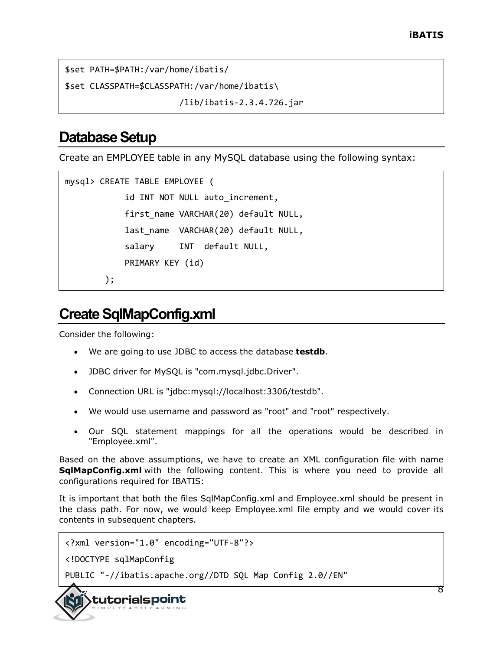```
$set PATH=$PATH:/var/home/ibatis/
```
\$set CLASSPATH=\$CLASSPATH:/var/home/ibatis\

/lib/ibatis-2.3.4.726.jar

#### **Database Setup**

Create an EMPLOYEE table in any MySQL database using the following syntax:

```
mysql> CREATE TABLE EMPLOYEE (
             id INT NOT NULL auto_increment,
            first name VARCHAR(20) default NULL,
             last_name VARCHAR(20) default NULL,
             salary INT default NULL,
             PRIMARY KEY (id)
         );
```
#### **Create SqlMapConfig.xml**

Consider the following:

- We are going to use JDBC to access the database **testdb**.
- JDBC driver for MySQL is "com.mysql.jdbc.Driver".
- Connection URL is "jdbc:mysql://localhost:3306/testdb".
- We would use username and password as "root" and "root" respectively.
- Our SQL statement mappings for all the operations would be described in "Employee.xml".

Based on the above assumptions, we have to create an XML configuration file with name **SqlMapConfig.xml** with the following content. This is where you need to provide all configurations required for IBATIS:

It is important that both the files SqlMapConfig.xml and Employee.xml should be present in the class path. For now, we would keep Employee.xml file empty and we would cover its contents in subsequent chapters.

```
<?xml version="1.0" encoding="UTF-8"?>
```
<!DOCTYPE sqlMapConfig

PUBLIC "-//ibatis.apache.org//DTD SQL Map Config 2.0//EN"

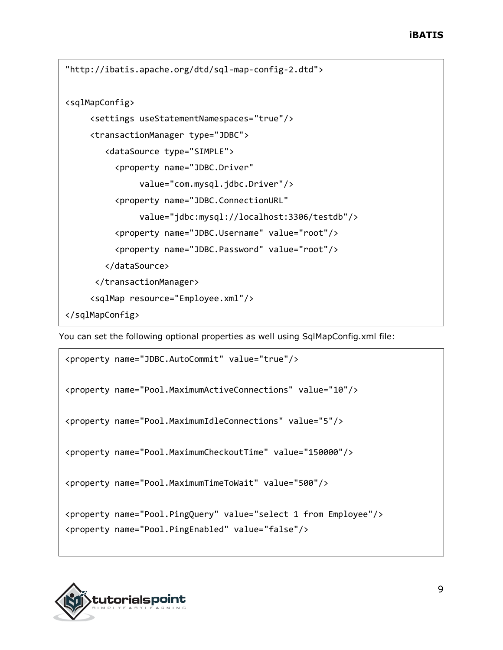```
"http://ibatis.apache.org/dtd/sql-map-config-2.dtd">
<sqlMapConfig>
      <settings useStatementNamespaces="true"/>
      <transactionManager type="JDBC">
         <dataSource type="SIMPLE">
           <property name="JDBC.Driver"
                value="com.mysql.jdbc.Driver"/>
           <property name="JDBC.ConnectionURL"
                value="jdbc:mysql://localhost:3306/testdb"/>
           <property name="JDBC.Username" value="root"/>
           <property name="JDBC.Password" value="root"/>
         </dataSource>
       </transactionManager>
      <sqlMap resource="Employee.xml"/>
</sqlMapConfig>
```
You can set the following optional properties as well using SqlMapConfig.xml file:

```
<property name="JDBC.AutoCommit" value="true"/>
<property name="Pool.MaximumActiveConnections" value="10"/>
<property name="Pool.MaximumIdleConnections" value="5"/>
<property name="Pool.MaximumCheckoutTime" value="150000"/>
<property name="Pool.MaximumTimeToWait" value="500"/>
<property name="Pool.PingQuery" value="select 1 from Employee"/>
<property name="Pool.PingEnabled" value="false"/>
```
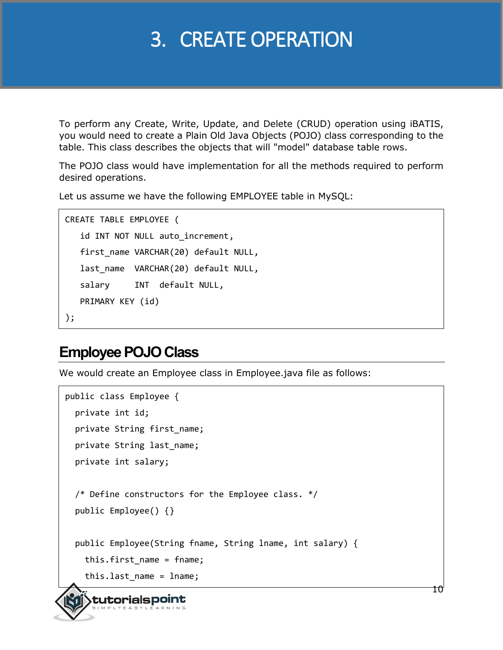### 3. CREATE OPERATION

To perform any Create, Write, Update, and Delete (CRUD) operation using iBATIS, you would need to create a Plain Old Java Objects (POJO) class corresponding to the table. This class describes the objects that will "model" database table rows.

The POJO class would have implementation for all the methods required to perform desired operations.

Let us assume we have the following EMPLOYEE table in MySQL:

```
CREATE TABLE EMPLOYEE (
   id INT NOT NULL auto increment,
    first_name VARCHAR(20) default NULL,
    last_name VARCHAR(20) default NULL,
    salary INT default NULL,
    PRIMARY KEY (id)
);
```
#### **Employee POJO Class**

tutorialspoint

We would create an Employee class in Employee.java file as follows:

```
public class Employee {
   private int id;
   private String first_name;
  private String last name;
   private int salary; 
   /* Define constructors for the Employee class. */
   public Employee() {}
   public Employee(String fname, String lname, int salary) {
     this.first_name = fname;
     this.last_name = lname;
```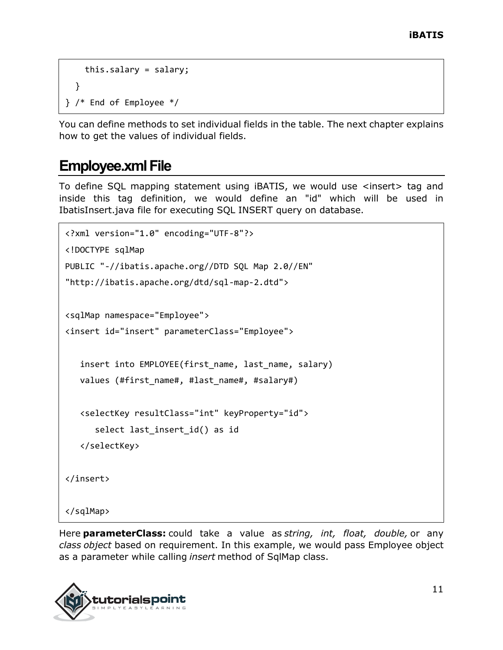```
 this.salary = salary;
   }
} /* End of Employee */
```
You can define methods to set individual fields in the table. The next chapter explains how to get the values of individual fields.

#### **Employee.xml File**

To define SQL mapping statement using iBATIS, we would use <insert> tag and inside this tag definition, we would define an "id" which will be used in IbatisInsert.java file for executing SQL INSERT query on database.

```
<?xml version="1.0" encoding="UTF-8"?>
<!DOCTYPE sqlMap 
PUBLIC "-//ibatis.apache.org//DTD SQL Map 2.0//EN"
"http://ibatis.apache.org/dtd/sql-map-2.dtd">
<sqlMap namespace="Employee">
<insert id="insert" parameterClass="Employee">
   insert into EMPLOYEE(first_name, last_name, salary)
   values (#first_name#, #last_name#, #salary#)
   <selectKey resultClass="int" keyProperty="id">
       select last_insert_id() as id
    </selectKey>
</insert>
</sqlMap>
```
Here **parameterClass:** could take a value as *string, int, float, double,* or any *class object* based on requirement. In this example, we would pass Employee object as a parameter while calling *insert* method of SqlMap class.

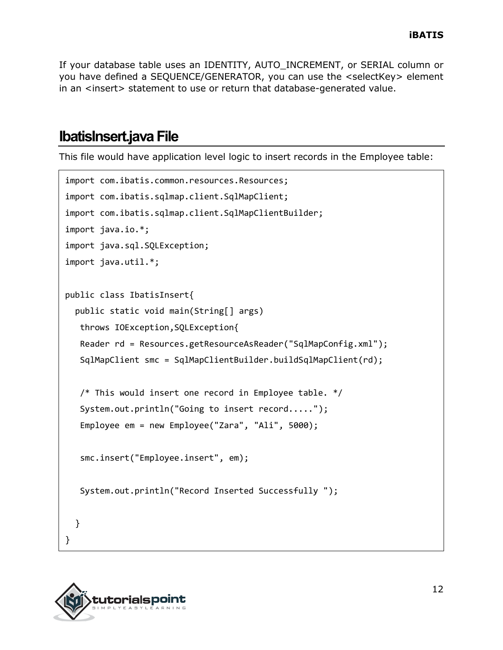If your database table uses an IDENTITY, AUTO\_INCREMENT, or SERIAL column or you have defined a SEQUENCE/GENERATOR, you can use the <selectKey> element in an <insert> statement to use or return that database-generated value.

#### **IbatisInsert.java File**

This file would have application level logic to insert records in the Employee table:

```
import com.ibatis.common.resources.Resources;
import com.ibatis.sqlmap.client.SqlMapClient;
import com.ibatis.sqlmap.client.SqlMapClientBuilder;
import java.io.*;
import java.sql.SQLException;
import java.util.*;
public class IbatisInsert{
   public static void main(String[] args)
    throws IOException,SQLException{
    Reader rd = Resources.getResourceAsReader("SqlMapConfig.xml");
    SqlMapClient smc = SqlMapClientBuilder.buildSqlMapClient(rd);
    /* This would insert one record in Employee table. */
    System.out.println("Going to insert record.....");
    Employee em = new Employee("Zara", "Ali", 5000);
    smc.insert("Employee.insert", em);
    System.out.println("Record Inserted Successfully ");
   }
}
```
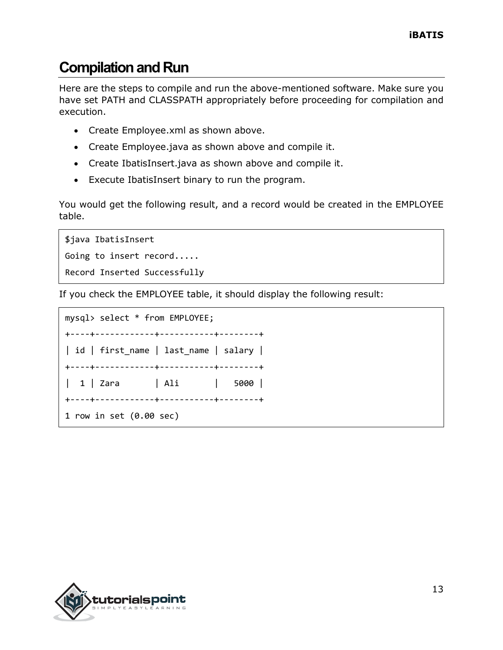### **Compilation and Run**

Here are the steps to compile and run the above-mentioned software. Make sure you have set PATH and CLASSPATH appropriately before proceeding for compilation and execution.

- Create Employee.xml as shown above.
- Create Employee.java as shown above and compile it.
- Create IbatisInsert.java as shown above and compile it.
- Execute IbatisInsert binary to run the program.

You would get the following result, and a record would be created in the EMPLOYEE table.

```
$java IbatisInsert
Going to insert record.....
Record Inserted Successfully
```
If you check the EMPLOYEE table, it should display the following result:

```
mysql> select * from EMPLOYEE;
+----+------------+-----------+--------+
| id | first_name | last_name | salary |
+----+------------+-----------+--------+
| 1 | Zara | Ali | 5000 |
+----+------------+-----------+--------+
1 row in set (0.00 sec)
```
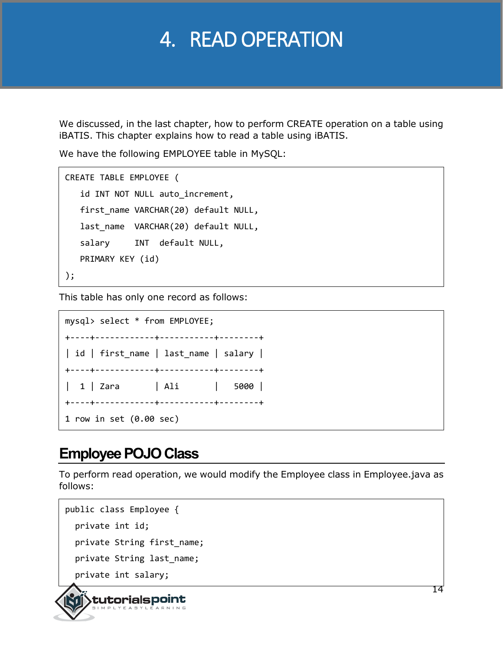### 4. READ OPERATION

We discussed, in the last chapter, how to perform CREATE operation on a table using iBATIS. This chapter explains how to read a table using iBATIS.

We have the following EMPLOYEE table in MySQL:

```
CREATE TABLE EMPLOYEE (
    id INT NOT NULL auto_increment,
   first name VARCHAR(20) default NULL,
    last_name VARCHAR(20) default NULL,
    salary INT default NULL,
    PRIMARY KEY (id)
);
```
This table has only one record as follows:

mysql> select \* from EMPLOYEE; +----+------------+-----------+--------+ | id | first\_name | last\_name | salary | +----+------------+-----------+--------+ | 1 | Zara | Ali | 5000 | +----+------------+-----------+--------+ 1 row in set (0.00 sec)

#### **Employee POJO Class**

To perform read operation, we would modify the Employee class in Employee.java as follows:

```
public class Employee {
  private int id;
  private String first_name;
 private String last name;
   private int salary;
```
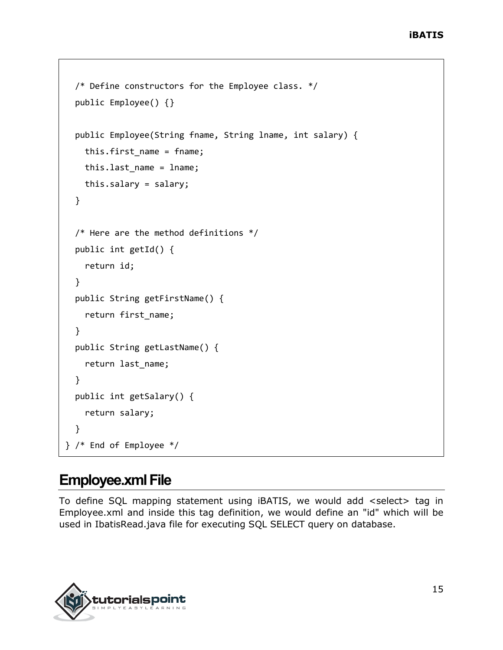```
 /* Define constructors for the Employee class. */
  public Employee() {}
  public Employee(String fname, String lname, int salary) {
     this.first_name = fname;
    this.last name = lname;
     this.salary = salary;
  }
  /* Here are the method definitions */
  public int getId() {
     return id;
   }
  public String getFirstName() {
     return first_name;
  }
  public String getLastName() {
     return last_name;
  }
  public int getSalary() {
     return salary;
   }
} /* End of Employee */
```
#### **Employee.xml File**

To define SQL mapping statement using iBATIS, we would add <select> tag in Employee.xml and inside this tag definition, we would define an "id" which will be used in IbatisRead.java file for executing SQL SELECT query on database.